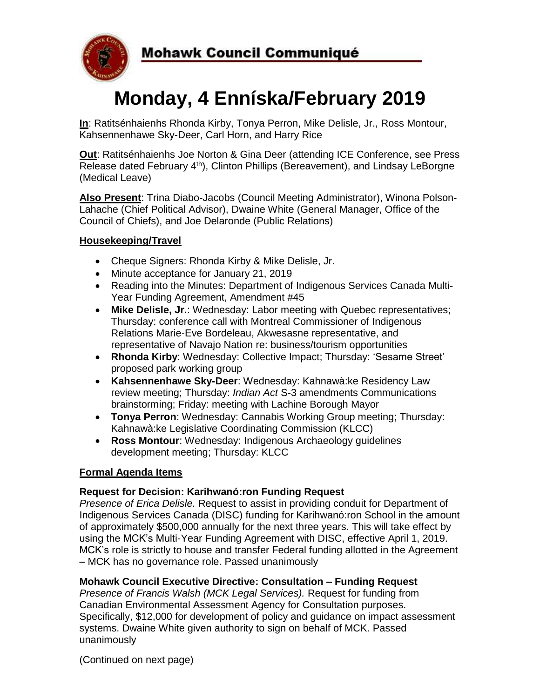

# **Monday, 4 Enníska/February 2019**

**In**: Ratitsénhaienhs Rhonda Kirby, Tonya Perron, Mike Delisle, Jr., Ross Montour, Kahsennenhawe Sky-Deer, Carl Horn, and Harry Rice

**Out**: Ratitsénhaienhs Joe Norton & Gina Deer (attending ICE Conference, see Press Release dated February 4<sup>th</sup>), Clinton Phillips (Bereavement), and Lindsay LeBorgne (Medical Leave)

**Also Present**: Trina Diabo-Jacobs (Council Meeting Administrator), Winona Polson-Lahache (Chief Political Advisor), Dwaine White (General Manager, Office of the Council of Chiefs), and Joe Delaronde (Public Relations)

## **Housekeeping/Travel**

- Cheque Signers: Rhonda Kirby & Mike Delisle, Jr.
- Minute acceptance for January 21, 2019
- Reading into the Minutes: Department of Indigenous Services Canada Multi-Year Funding Agreement, Amendment #45
- **Mike Delisle, Jr.**: Wednesday: Labor meeting with Quebec representatives; Thursday: conference call with Montreal Commissioner of Indigenous Relations Marie-Eve Bordeleau, Akwesasne representative, and representative of Navajo Nation re: business/tourism opportunities
- **Rhonda Kirby**: Wednesday: Collective Impact; Thursday: 'Sesame Street' proposed park working group
- **Kahsennenhawe Sky-Deer**: Wednesday: Kahnawà:ke Residency Law review meeting; Thursday: *Indian Act* S-3 amendments Communications brainstorming; Friday: meeting with Lachine Borough Mayor
- **Tonya Perron**: Wednesday: Cannabis Working Group meeting; Thursday: Kahnawà:ke Legislative Coordinating Commission (KLCC)
- **Ross Montour**: Wednesday: Indigenous Archaeology guidelines development meeting; Thursday: KLCC

#### **Formal Agenda Items**

#### **Request for Decision: Karihwanó:ron Funding Request**

*Presence of Erica Delisle.* Request to assist in providing conduit for Department of Indigenous Services Canada (DISC) funding for Karihwanó:ron School in the amount of approximately \$500,000 annually for the next three years. This will take effect by using the MCK's Multi-Year Funding Agreement with DISC, effective April 1, 2019. MCK's role is strictly to house and transfer Federal funding allotted in the Agreement – MCK has no governance role. Passed unanimously

#### **Mohawk Council Executive Directive: Consultation – Funding Request**

*Presence of Francis Walsh (MCK Legal Services).* Request for funding from Canadian Environmental Assessment Agency for Consultation purposes. Specifically, \$12,000 for development of policy and guidance on impact assessment systems. Dwaine White given authority to sign on behalf of MCK. Passed unanimously

(Continued on next page)